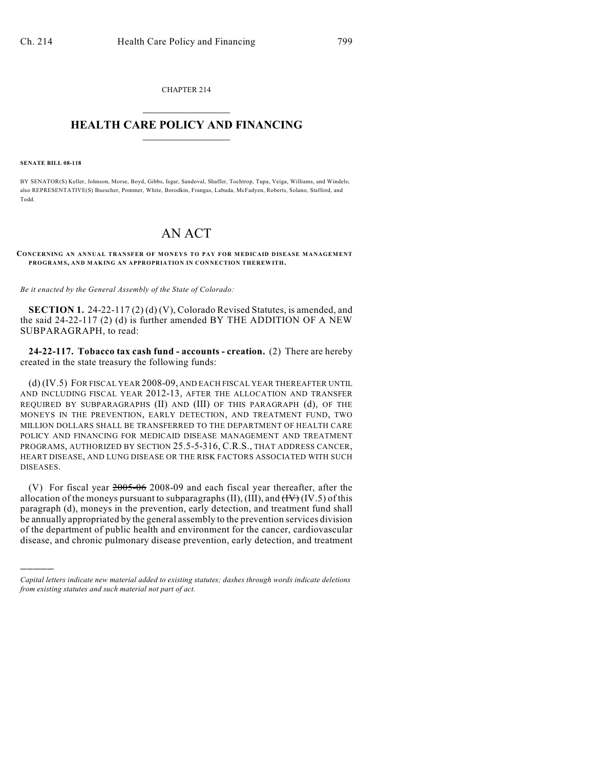CHAPTER 214  $\overline{\phantom{a}}$  . The set of the set of the set of the set of the set of the set of the set of the set of the set of the set of the set of the set of the set of the set of the set of the set of the set of the set of the set o

## **HEALTH CARE POLICY AND FINANCING**  $\_$   $\_$   $\_$   $\_$   $\_$   $\_$   $\_$   $\_$

#### **SENATE BILL 08-118**

)))))

BY SENATOR(S) Keller, Johnson, Morse, Boyd, Gibbs, Isgar, Sandoval, Shaffer, Tochtrop, Tupa, Veiga, Williams, and Windels; also REPRESENTATIVE(S) Buescher, Pommer, White, Borodkin, Frangas, Labuda, McFadyen, Roberts, Solano, Stafford, and Todd.

# AN ACT

### **CONCERNING AN ANNUAL TRANSFER OF MONEYS TO PAY FOR MEDICAID DISEASE MANAGEMENT PROGRAM S, AND MAKING AN APPROPRIATION IN CONNECTION THEREWITH.**

*Be it enacted by the General Assembly of the State of Colorado:*

**SECTION 1.** 24-22-117 (2) (d) (V), Colorado Revised Statutes, is amended, and the said 24-22-117 (2) (d) is further amended BY THE ADDITION OF A NEW SUBPARAGRAPH, to read:

**24-22-117. Tobacco tax cash fund - accounts - creation.** (2) There are hereby created in the state treasury the following funds:

(d) (IV.5) FOR FISCAL YEAR 2008-09, AND EACH FISCAL YEAR THEREAFTER UNTIL AND INCLUDING FISCAL YEAR 2012-13, AFTER THE ALLOCATION AND TRANSFER REQUIRED BY SUBPARAGRAPHS (II) AND (III) OF THIS PARAGRAPH (d), OF THE MONEYS IN THE PREVENTION, EARLY DETECTION, AND TREATMENT FUND, TWO MILLION DOLLARS SHALL BE TRANSFERRED TO THE DEPARTMENT OF HEALTH CARE POLICY AND FINANCING FOR MEDICAID DISEASE MANAGEMENT AND TREATMENT PROGRAMS, AUTHORIZED BY SECTION 25.5-5-316, C.R.S., THAT ADDRESS CANCER, HEART DISEASE, AND LUNG DISEASE OR THE RISK FACTORS ASSOCIATED WITH SUCH DISEASES.

(V) For fiscal year  $2005-06$  2008-09 and each fiscal year thereafter, after the allocation of the moneys pursuant to subparagraphs  $(II)$ ,  $(III)$ , and  $(HY)$   $(IV.5)$  of this paragraph (d), moneys in the prevention, early detection, and treatment fund shall be annually appropriated by the general assembly to the prevention services division of the department of public health and environment for the cancer, cardiovascular disease, and chronic pulmonary disease prevention, early detection, and treatment

*Capital letters indicate new material added to existing statutes; dashes through words indicate deletions from existing statutes and such material not part of act.*